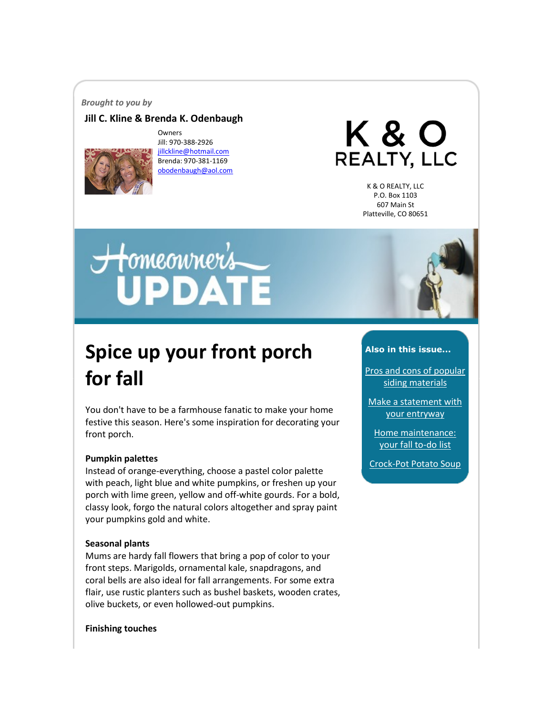#### *Brought to you by*

## **Jill C. Kline & Brenda K. Odenbaugh**



Owners Jill: 970-388-2926 [jillckline@hotmail.com](mailto:jillckline@hotmail.com) Brenda: 970-381-1169 [obodenbaugh@aol.com](mailto:obodenbaugh@aol.com)

K & O REALTY, LLC

> K & O REALTY, LLC P.O. Box 1103 607 Main St Platteville, CO 80651

# Homeowner's<br>UPDATE

# **Spice up your front porch for fall**

You don't have to be a farmhouse fanatic to make your home festive this season. Here's some inspiration for decorating your front porch.

#### **Pumpkin palettes**

Instead of orange-everything, choose a pastel color palette with peach, light blue and white pumpkins, or freshen up your porch with lime green, yellow and off-white gourds. For a bold, classy look, forgo the natural colors altogether and spray paint your pumpkins gold and white.

#### **Seasonal plants**

Mums are hardy fall flowers that bring a pop of color to your front steps. Marigolds, ornamental kale, snapdragons, and coral bells are also ideal for fall arrangements. For some extra flair, use rustic planters such as bushel baskets, wooden crates, olive buckets, or even hollowed-out pumpkins.

#### **Finishing touches**



#### **Also in this issue...**

[Pros and cons of popular](#page-1-0)  [siding materials](#page-1-0)

[Make a statement with](#page-2-0)  [your entryway](#page-2-0)

[Home maintenance:](#page-2-1)  [your fall to-do list](#page-2-1)

[Crock-Pot Potato Soup](#page-3-0)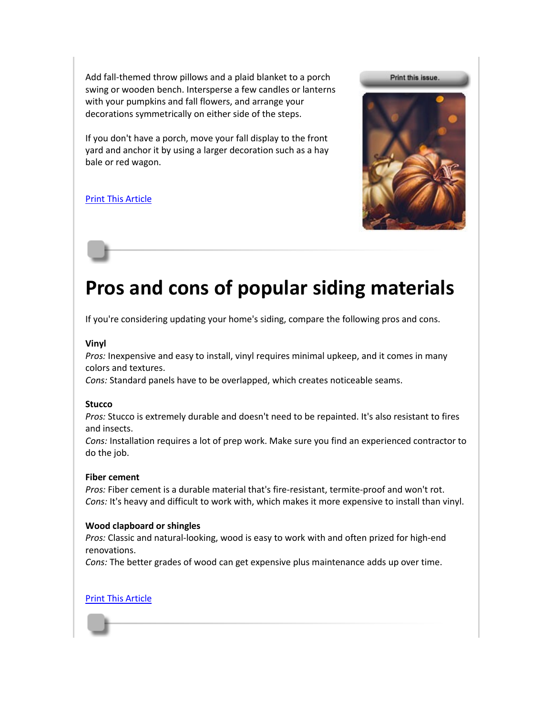Add fall-themed throw pillows and a plaid blanket to a porch swing or wooden bench. Intersperse a few candles or lanterns with your pumpkins and fall flowers, and arrange your decorations symmetrically on either side of the steps.

If you don't have a porch, move your fall display to the front yard and anchor it by using a larger decoration such as a hay bale or red wagon.

# [Print This Article](http://www.tpmco.com/pmcwebdata/enewsletters/2018-10/4554788_1.html)



# <span id="page-1-0"></span>**Pros and cons of popular siding materials**

If you're considering updating your home's siding, compare the following pros and cons.

## **Vinyl**

*Pros:* Inexpensive and easy to install, vinyl requires minimal upkeep, and it comes in many colors and textures.

*Cons:* Standard panels have to be overlapped, which creates noticeable seams.

#### **Stucco**

*Pros:* Stucco is extremely durable and doesn't need to be repainted. It's also resistant to fires and insects.

*Cons:* Installation requires a lot of prep work. Make sure you find an experienced contractor to do the job.

#### **Fiber cement**

*Pros:* Fiber cement is a durable material that's fire-resistant, termite-proof and won't rot. *Cons:* It's heavy and difficult to work with, which makes it more expensive to install than vinyl.

## **Wood clapboard or shingles**

*Pros:* Classic and natural-looking, wood is easy to work with and often prized for high-end renovations.

*Cons:* The better grades of wood can get expensive plus maintenance adds up over time.

## [Print This Article](http://www.tpmco.com/pmcwebdata/enewsletters/2018-10/4554788_2.html)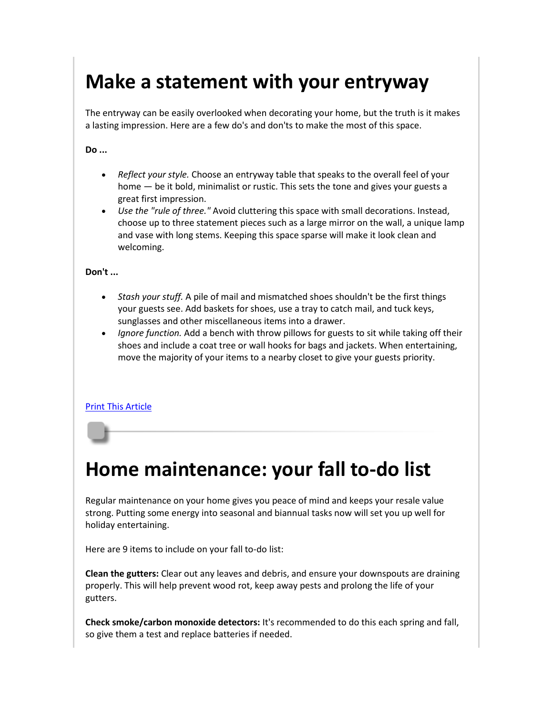# <span id="page-2-0"></span>**Make a statement with your entryway**

The entryway can be easily overlooked when decorating your home, but the truth is it makes a lasting impression. Here are a few do's and don'ts to make the most of this space.

**Do ...**

- *Reflect your style.* Choose an entryway table that speaks to the overall feel of your home — be it bold, minimalist or rustic. This sets the tone and gives your guests a great first impression.
- *Use the "rule of three."* Avoid cluttering this space with small decorations. Instead, choose up to three statement pieces such as a large mirror on the wall, a unique lamp and vase with long stems. Keeping this space sparse will make it look clean and welcoming.

**Don't ...**

- *Stash your stuff.* A pile of mail and mismatched shoes shouldn't be the first things your guests see. Add baskets for shoes, use a tray to catch mail, and tuck keys, sunglasses and other miscellaneous items into a drawer.
- *Ignore function.* Add a bench with throw pillows for guests to sit while taking off their shoes and include a coat tree or wall hooks for bags and jackets. When entertaining, move the majority of your items to a nearby closet to give your guests priority.

## [Print This Article](http://www.tpmco.com/pmcwebdata/enewsletters/2018-10/4554788_3.html)

# <span id="page-2-1"></span>**Home maintenance: your fall to-do list**

Regular maintenance on your home gives you peace of mind and keeps your resale value strong. Putting some energy into seasonal and biannual tasks now will set you up well for holiday entertaining.

Here are 9 items to include on your fall to-do list:

**Clean the gutters:** Clear out any leaves and debris, and ensure your downspouts are draining properly. This will help prevent wood rot, keep away pests and prolong the life of your gutters.

**Check smoke/carbon monoxide detectors:** It's recommended to do this each spring and fall, so give them a test and replace batteries if needed.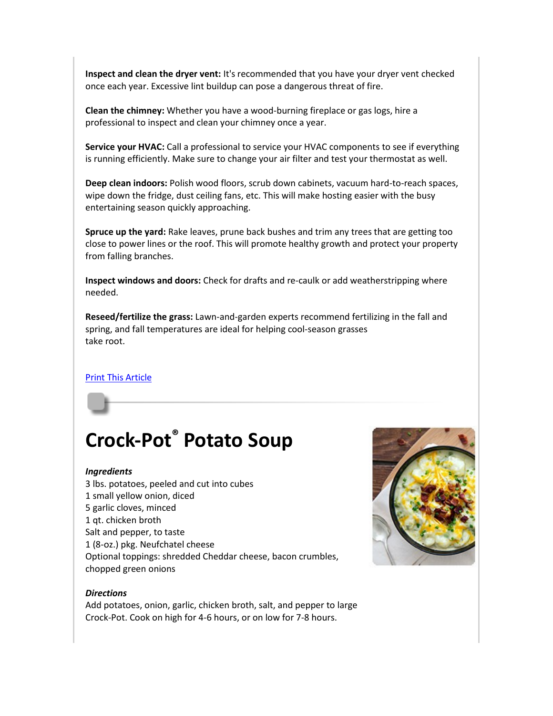**Inspect and clean the dryer vent:** It's recommended that you have your dryer vent checked once each year. Excessive lint buildup can pose a dangerous threat of fire.

**Clean the chimney:** Whether you have a wood-burning fireplace or gas logs, hire a professional to inspect and clean your chimney once a year.

**Service your HVAC:** Call a professional to service your HVAC components to see if everything is running efficiently. Make sure to change your air filter and test your thermostat as well.

**Deep clean indoors:** Polish wood floors, scrub down cabinets, vacuum hard-to-reach spaces, wipe down the fridge, dust ceiling fans, etc. This will make hosting easier with the busy entertaining season quickly approaching.

**Spruce up the yard:** Rake leaves, prune back bushes and trim any trees that are getting too close to power lines or the roof. This will promote healthy growth and protect your property from falling branches.

**Inspect windows and doors:** Check for drafts and re-caulk or add weatherstripping where needed.

**Reseed/fertilize the grass:** Lawn-and-garden experts recommend fertilizing in the fall and spring, and fall temperatures are ideal for helping cool-season grasses take root.

## **[Print This Article](http://www.tpmco.com/pmcwebdata/enewsletters/2018-10/4554788_4.html)**

# <span id="page-3-0"></span>**Crock-Pot® Potato Soup**

#### *Ingredients*

3 lbs. potatoes, peeled and cut into cubes 1 small yellow onion, diced 5 garlic cloves, minced 1 qt. chicken broth Salt and pepper, to taste 1 (8-oz.) pkg. Neufchatel cheese Optional toppings: shredded Cheddar cheese, bacon crumbles, chopped green onions

#### *Directions*

Add potatoes, onion, garlic, chicken broth, salt, and pepper to large Crock-Pot. Cook on high for 4-6 hours, or on low for 7-8 hours.